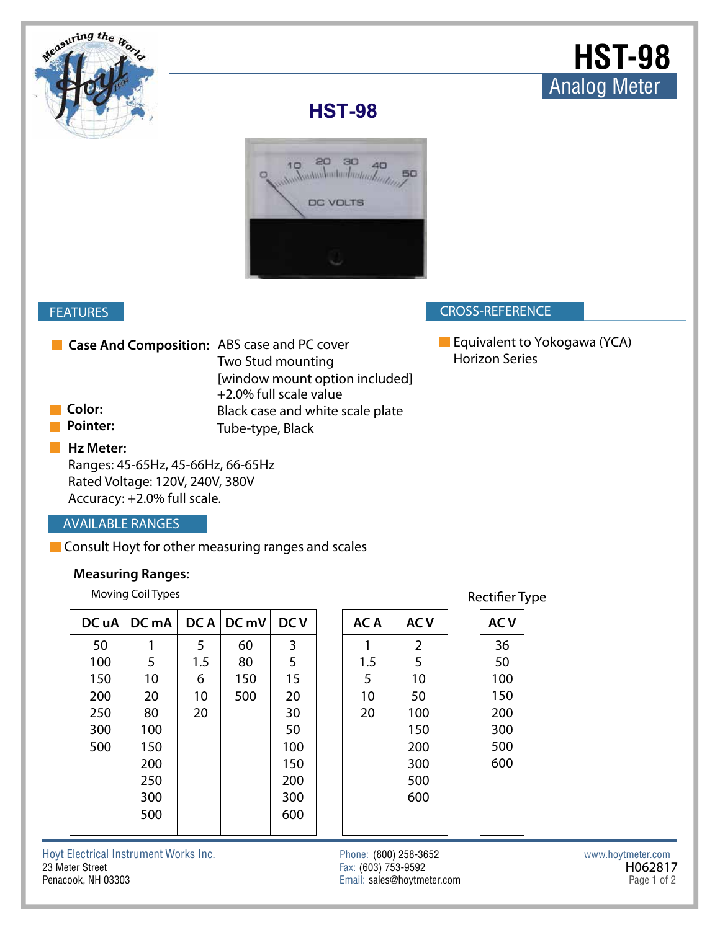

# **HST-98**



### **CROSS-REFERENCE**

## **AVAILABLE RANGES**

### **Measuring Ranges:**

|                                             | <b>FEATURES</b>                                                                                                  |                          |      |                                                                               |            |  |                                              |                |                                                       | <b>CROSS-REFERENCE</b> |  |                   |         |
|---------------------------------------------|------------------------------------------------------------------------------------------------------------------|--------------------------|------|-------------------------------------------------------------------------------|------------|--|----------------------------------------------|----------------|-------------------------------------------------------|------------------------|--|-------------------|---------|
| Case And Composition: ABS case and PC cover |                                                                                                                  |                          |      | Two Stud mounting<br>[window mount option included]<br>+2.0% full scale value |            |  |                                              |                | Equivalent to Yokogawa (YCA)<br><b>Horizon Series</b> |                        |  |                   |         |
|                                             | Color:                                                                                                           |                          |      | Black case and white scale plate                                              |            |  |                                              |                |                                                       |                        |  |                   |         |
|                                             | <b>Pointer:</b>                                                                                                  |                          |      | Tube-type, Black                                                              |            |  |                                              |                |                                                       |                        |  |                   |         |
|                                             | Hz Meter:<br>Ranges: 45-65Hz, 45-66Hz, 66-65Hz<br>Rated Voltage: 120V, 240V, 380V<br>Accuracy: +2.0% full scale. |                          |      |                                                                               |            |  |                                              |                |                                                       |                        |  |                   |         |
|                                             | <b>AVAILABLE RANGES</b>                                                                                          |                          |      |                                                                               |            |  |                                              |                |                                                       |                        |  |                   |         |
|                                             | Consult Hoyt for other measuring ranges and scales                                                               |                          |      |                                                                               |            |  |                                              |                |                                                       |                        |  |                   |         |
|                                             |                                                                                                                  | <b>Measuring Ranges:</b> |      |                                                                               |            |  |                                              |                |                                                       |                        |  |                   |         |
|                                             | Moving Coil Types                                                                                                |                          |      |                                                                               |            |  | <b>Rectifier Type</b>                        |                |                                                       |                        |  |                   |         |
|                                             | DC uA                                                                                                            | DC mA                    | DC A | DC mV                                                                         | <b>DCV</b> |  | AC A                                         | <b>ACV</b>     |                                                       | <b>ACV</b>             |  |                   |         |
|                                             | 50                                                                                                               | 1                        | 5    | 60                                                                            | 3          |  | 1                                            | $\overline{2}$ |                                                       | 36                     |  |                   |         |
|                                             | 100                                                                                                              | 5                        | 1.5  | 80                                                                            | 5          |  | 1.5                                          | 5              |                                                       | 50                     |  |                   |         |
|                                             | 150                                                                                                              | 10                       | 6    | 150                                                                           | 15         |  | 5                                            | 10             |                                                       | 100                    |  |                   |         |
|                                             | 200                                                                                                              | 20                       | 10   | 500                                                                           | 20         |  | 10                                           | 50             |                                                       | 150                    |  |                   |         |
|                                             | 250                                                                                                              | 80                       | 20   |                                                                               | 30         |  | 20                                           | 100            |                                                       | 200                    |  |                   |         |
|                                             | 300                                                                                                              | 100                      |      |                                                                               | 50         |  |                                              | 150            |                                                       | 300                    |  |                   |         |
|                                             | 500                                                                                                              | 150                      |      |                                                                               | 100        |  |                                              | 200            |                                                       | 500                    |  |                   |         |
|                                             |                                                                                                                  | 200                      |      |                                                                               | 150        |  |                                              | 300            |                                                       | 600                    |  |                   |         |
|                                             |                                                                                                                  | 250                      |      |                                                                               | 200        |  |                                              | 500            |                                                       |                        |  |                   |         |
|                                             |                                                                                                                  | 300                      |      |                                                                               | 300        |  |                                              | 600            |                                                       |                        |  |                   |         |
|                                             |                                                                                                                  | 500                      |      |                                                                               | 600        |  |                                              |                |                                                       |                        |  |                   |         |
|                                             | oyt Electrical Instrument Works Inc.<br>3 Meter Street                                                           |                          |      |                                                                               |            |  | Phone: (800) 258-3652<br>Fax: (603) 753-9592 |                |                                                       |                        |  | www.hoytmeter.com | H062817 |

# Hoyt Electrical Instrument Works Inc. Phone: (800) 258-3652 www.hoytmeter.com Penacook, NH 03303 Email: sales@hoytmeter.com Page 1 of 2

Fax: (603) 753-9592 H062817